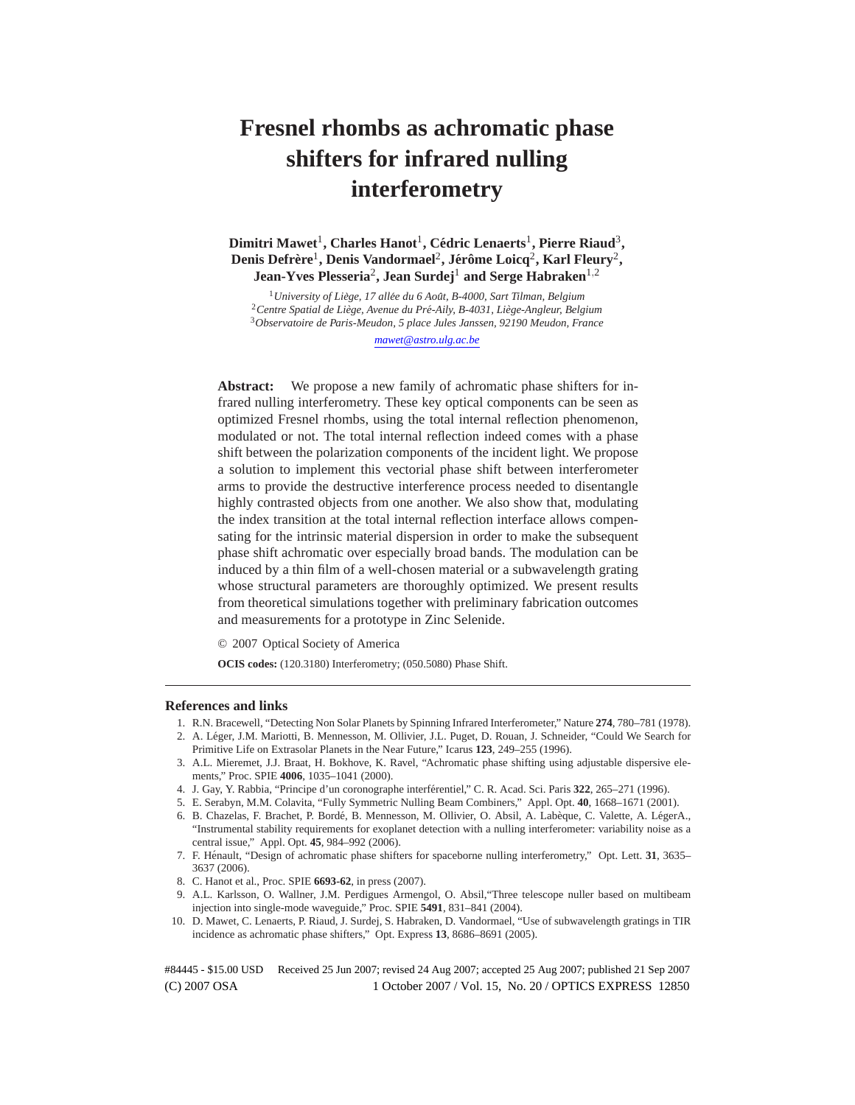# **Fresnel rhombs as achromatic phase shifters for infrared nulling interferometry**

 $\mathbf{D}\mathbf{imitri}\ \mathbf{Mawet}^1,\mathbf{Charles}\ \mathbf{Hanot}^1,\mathbf{C\'edric}\ \mathbf{Lenaerts}^1,\mathbf{Pierre}\ \mathbf{Riaud}^3,$  $\Delta$ Denis Defrère<sup>1</sup>, Denis Vandormael<sup>2</sup>, Jérôme Loicq<sup>2</sup>, Karl Fleury<sup>2</sup>, **Jean-Yves Plesseria**<sup>2</sup> **, Jean Surdej**<sup>1</sup> **and Serge Habraken**1,<sup>2</sup>

<sup>1</sup> University of Liège, 17 allée du 6 Août, B-4000, Sart Tilman, Belgium <sup>2</sup> Centre Spatial de Liège, Avenue du Pré-Aily, B-4031, Liège-Angleur, Belgium <sup>3</sup>*Observatoire de Paris-Meudon, 5 place Jules Janssen, 92190 Meudon, France*

## *mawet@astro.ulg.ac.be*

**Abstract:** We propose a new family of achromatic phase shifters for infrared nulling interferometry. These key optical components can be seen as optimized Fresnel rhombs, using the total internal reflection phenomenon, modulated or not. The total internal reflection indeed comes with a phase shift between the polarization components of the incident light. We propose a solution to implement this vectorial phase shift between interferometer arms to provide the destructive interference process needed to disentangle highly contrasted objects from one another. We also show that, modulating the index transition at the total internal reflection interface allows compensating for the intrinsic material dispersion in order to make the subsequent phase shift achromatic over especially broad bands. The modulation can be induced by a thin film of a well-chosen material or a subwavelength grating whose structural parameters are thoroughly optimized. We present results from theoretical simulations together with preliminary fabrication outcomes and measurements for a prototype in Zinc Selenide.

© 2007 Optical Society of America

**OCIS codes:** (120.3180) Interferometry; (050.5080) Phase Shift.

#### **References and links**

- 1. R.N. Bracewell, "Detecting Non Solar Planets by Spinning Infrared Interferometer," Nature **274**, 780–781 (1978).
- 2. A. Léger, J.M. Mariotti, B. Mennesson, M. Ollivier, J.L. Puget, D. Rouan, J. Schneider, "Could We Search for Primitive Life on Extrasolar Planets in the Near Future," Icarus **123**, 249–255 (1996).
- 3. A.L. Mieremet, J.J. Braat, H. Bokhove, K. Ravel, "Achromatic phase shifting using adjustable dispersive elements," Proc. SPIE **4006**, 1035–1041 (2000).
- 4. J. Gay, Y. Rabbia, "Principe d'un coronographe interferentiel," C. R. Acad. Sci. Paris ´ **322**, 265–271 (1996).
- 5. E. Serabyn, M.M. Colavita, "Fully Symmetric Nulling Beam Combiners," Appl. Opt. **40**, 1668–1671 (2001).
- 6. B. Chazelas, F. Brachet, P. Bordé, B. Mennesson, M. Ollivier, O. Absil, A. Labèque, C. Valette, A. LégerA., "Instrumental stability requirements for exoplanet detection with a nulling interferometer: variability noise as a central issue," Appl. Opt. **45**, 984–992 (2006).
- 7. F. Hénault, "Design of achromatic phase shifters for spaceborne nulling interferometry," Opt. Lett. 31, 3635– 3637 (2006).
- 8. C. Hanot et al., Proc. SPIE **6693-62**, in press (2007).
- 9. A.L. Karlsson, O. Wallner, J.M. Perdigues Armengol, O. Absil,"Three telescope nuller based on multibeam injection into single-mode waveguide," Proc. SPIE **5491**, 831–841 (2004).
- 10. D. Mawet, C. Lenaerts, P. Riaud, J. Surdej, S. Habraken, D. Vandormael, "Use of subwavelength gratings in TIR incidence as achromatic phase shifters," Opt. Express **13**, 8686–8691 (2005).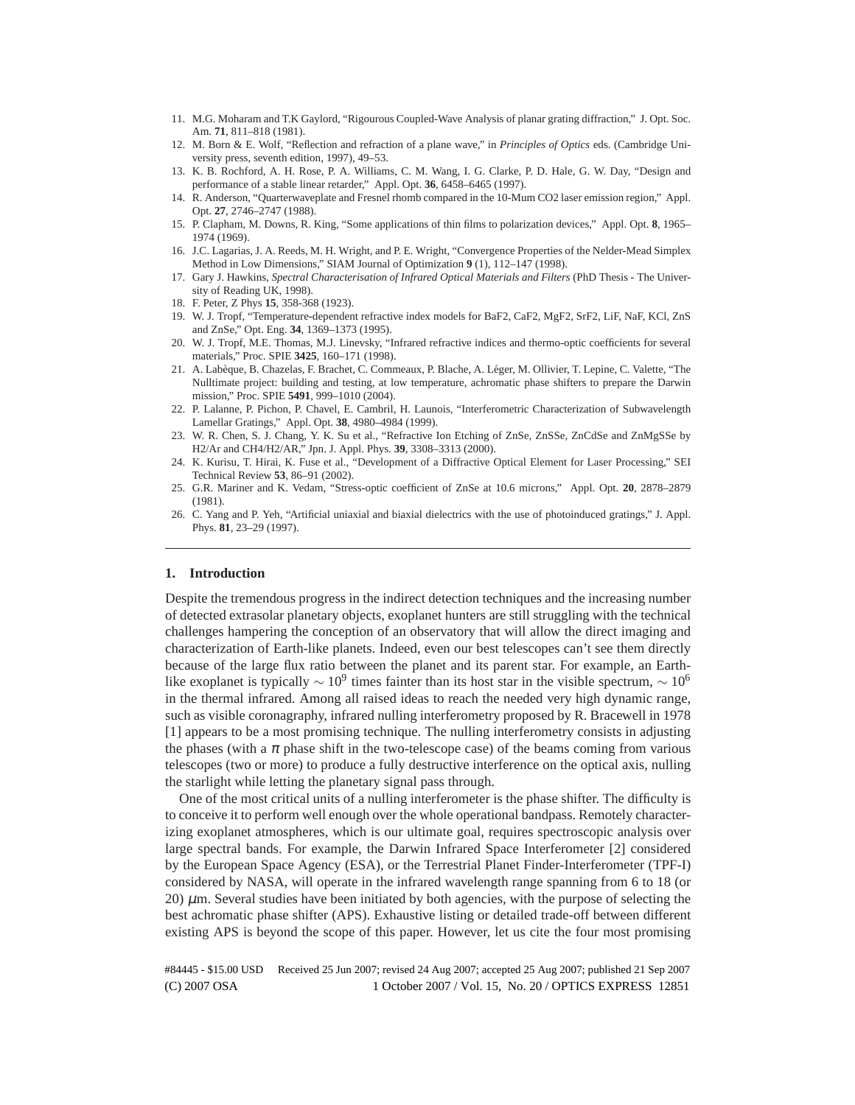- 11. M.G. Moharam and T.K Gaylord, "Rigourous Coupled-Wave Analysis of planar grating diffraction," J. Opt. Soc. Am. **71**, 811–818 (1981).
- 12. M. Born & E. Wolf, "Reflection and refraction of a plane wave," in *Principles of Optics* eds. (Cambridge University press, seventh edition, 1997), 49–53.
- 13. K. B. Rochford, A. H. Rose, P. A. Williams, C. M. Wang, I. G. Clarke, P. D. Hale, G. W. Day, "Design and performance of a stable linear retarder," Appl. Opt. **36**, 6458–6465 (1997).
- 14. R. Anderson, "Quarterwaveplate and Fresnel rhomb compared in the 10-Mum CO2 laser emission region," Appl. Opt. **27**, 2746–2747 (1988).
- 15. P. Clapham, M. Downs, R. King, "Some applications of thin films to polarization devices," Appl. Opt. **8**, 1965– 1974 (1969).
- 16. J.C. Lagarias, J. A. Reeds, M. H. Wright, and P. E. Wright, "Convergence Properties of the Nelder-Mead Simplex Method in Low Dimensions," SIAM Journal of Optimization **9** (1), 112–147 (1998).
- 17. Gary J. Hawkins, *Spectral Characterisation of Infrared Optical Materials and Filters* (PhD Thesis The University of Reading UK, 1998).
- 18. F. Peter, Z Phys **15**, 358-368 (1923).
- 19. W. J. Tropf, "Temperature-dependent refractive index models for BaF2, CaF2, MgF2, SrF2, LiF, NaF, KCl, ZnS and ZnSe," Opt. Eng. **34**, 1369–1373 (1995).
- 20. W. J. Tropf, M.E. Thomas, M.J. Linevsky, "Infrared refractive indices and thermo-optic coefficients for several materials," Proc. SPIE **3425**, 160–171 (1998).
- 21. A. Labèque, B. Chazelas, F. Brachet, C. Commeaux, P. Blache, A. Léger, M. Ollivier, T. Lepine, C. Valette, "The Nulltimate project: building and testing, at low temperature, achromatic phase shifters to prepare the Darwin mission," Proc. SPIE **5491**, 999–1010 (2004).
- 22. P. Lalanne, P. Pichon, P. Chavel, E. Cambril, H. Launois, "Interferometric Characterization of Subwavelength Lamellar Gratings," Appl. Opt. **38**, 4980–4984 (1999).
- 23. W. R. Chen, S. J. Chang, Y. K. Su et al., "Refractive Ion Etching of ZnSe, ZnSSe, ZnCdSe and ZnMgSSe by H2/Ar and CH4/H2/AR," Jpn. J. Appl. Phys. **39**, 3308–3313 (2000).
- 24. K. Kurisu, T. Hirai, K. Fuse et al., "Development of a Diffractive Optical Element for Laser Processing," SEI Technical Review **53**, 86–91 (2002).
- 25. G.R. Mariner and K. Vedam, "Stress-optic coefficient of ZnSe at 10.6 microns," Appl. Opt. **20**, 2878–2879 (1981).
- 26. C. Yang and P. Yeh, "Artificial uniaxial and biaxial dielectrics with the use of photoinduced gratings," J. Appl. Phys. **81**, 23–29 (1997).

## **1. Introduction**

Despite the tremendous progress in the indirect detection techniques and the increasing number of detected extrasolar planetary objects, exoplanet hunters are still struggling with the technical challenges hampering the conception of an observatory that will allow the direct imaging and characterization of Earth-like planets. Indeed, even our best telescopes can't see them directly because of the large flux ratio between the planet and its parent star. For example, an Earthlike exoplanet is typically  $\sim 10^9$  times fainter than its host star in the visible spectrum,  $\sim 10^6$ in the thermal infrared. Among all raised ideas to reach the needed very high dynamic range, such as visible coronagraphy, infrared nulling interferometry proposed by R. Bracewell in 1978 [1] appears to be a most promising technique. The nulling interferometry consists in adjusting the phases (with a  $\pi$  phase shift in the two-telescope case) of the beams coming from various telescopes (two or more) to produce a fully destructive interference on the optical axis, nulling the starlight while letting the planetary signal pass through.

One of the most critical units of a nulling interferometer is the phase shifter. The difficulty is to conceive it to perform well enough over the whole operational bandpass. Remotely characterizing exoplanet atmospheres, which is our ultimate goal, requires spectroscopic analysis over large spectral bands. For example, the Darwin Infrared Space Interferometer [2] considered by the European Space Agency (ESA), or the Terrestrial Planet Finder-Interferometer (TPF-I) considered by NASA, will operate in the infrared wavelength range spanning from 6 to 18 (or 20) µm. Several studies have been initiated by both agencies, with the purpose of selecting the best achromatic phase shifter (APS). Exhaustive listing or detailed trade-off between different existing APS is beyond the scope of this paper. However, let us cite the four most promising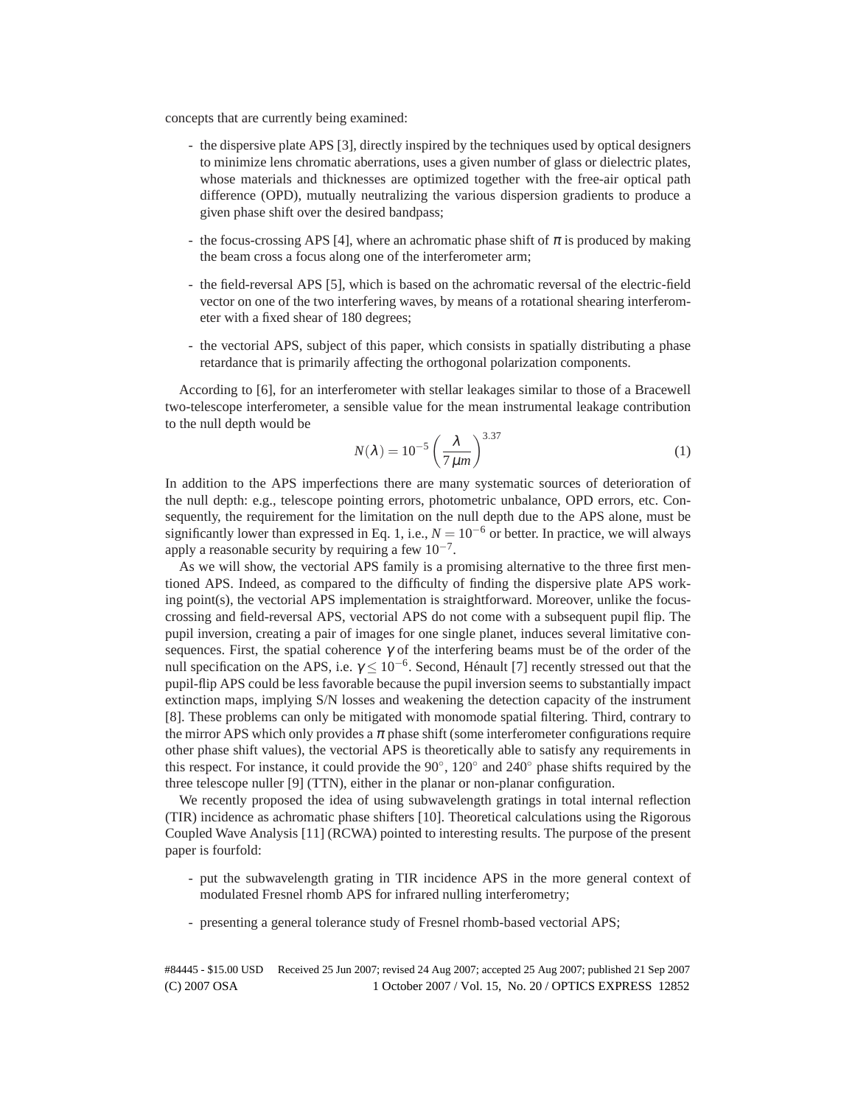concepts that are currently being examined:

- the dispersive plate APS [3], directly inspired by the techniques used by optical designers to minimize lens chromatic aberrations, uses a given number of glass or dielectric plates, whose materials and thicknesses are optimized together with the free-air optical path difference (OPD), mutually neutralizing the various dispersion gradients to produce a given phase shift over the desired bandpass;
- the focus-crossing APS [4], where an achromatic phase shift of  $\pi$  is produced by making the beam cross a focus along one of the interferometer arm;
- the field-reversal APS [5], which is based on the achromatic reversal of the electric-field vector on one of the two interfering waves, by means of a rotational shearing interferometer with a fixed shear of 180 degrees;
- the vectorial APS, subject of this paper, which consists in spatially distributing a phase retardance that is primarily affecting the orthogonal polarization components.

According to [6], for an interferometer with stellar leakages similar to those of a Bracewell two-telescope interferometer, a sensible value for the mean instrumental leakage contribution to the null depth would be

$$
N(\lambda) = 10^{-5} \left(\frac{\lambda}{7\,\mu m}\right)^{3.37} \tag{1}
$$

In addition to the APS imperfections there are many systematic sources of deterioration of the null depth: e.g., telescope pointing errors, photometric unbalance, OPD errors, etc. Consequently, the requirement for the limitation on the null depth due to the APS alone, must be significantly lower than expressed in Eq. 1, i.e.,  $N = 10^{-6}$  or better. In practice, we will always apply a reasonable security by requiring a few  $10^{-7}$ .

As we will show, the vectorial APS family is a promising alternative to the three first mentioned APS. Indeed, as compared to the difficulty of finding the dispersive plate APS working point(s), the vectorial APS implementation is straightforward. Moreover, unlike the focuscrossing and field-reversal APS, vectorial APS do not come with a subsequent pupil flip. The pupil inversion, creating a pair of images for one single planet, induces several limitative consequences. First, the spatial coherence  $\gamma$  of the interfering beams must be of the order of the null specification on the APS, i.e.  $\gamma \leq 10^{-6}$ . Second, Hénault [7] recently stressed out that the pupil-flip APS could be less favorable because the pupil inversion seems to substantially impact extinction maps, implying S/N losses and weakening the detection capacity of the instrument [8]. These problems can only be mitigated with monomode spatial filtering. Third, contrary to the mirror APS which only provides a  $\pi$  phase shift (some interferometer configurations require other phase shift values), the vectorial APS is theoretically able to satisfy any requirements in this respect. For instance, it could provide the 90◦ , 120◦ and 240◦ phase shifts required by the three telescope nuller [9] (TTN), either in the planar or non-planar configuration.

We recently proposed the idea of using subwavelength gratings in total internal reflection (TIR) incidence as achromatic phase shifters [10]. Theoretical calculations using the Rigorous Coupled Wave Analysis [11] (RCWA) pointed to interesting results. The purpose of the present paper is fourfold:

- put the subwavelength grating in TIR incidence APS in the more general context of modulated Fresnel rhomb APS for infrared nulling interferometry;
- presenting a general tolerance study of Fresnel rhomb-based vectorial APS;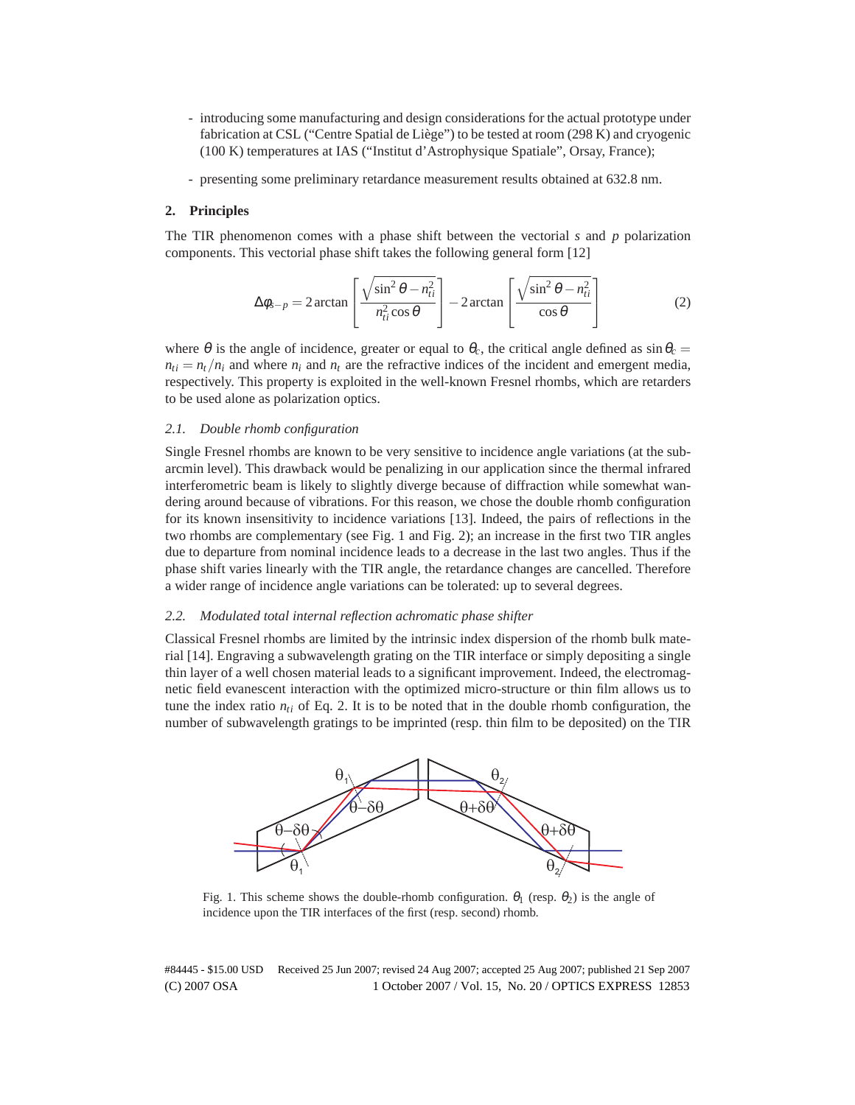- introducing some manufacturing and design considerations for the actual prototype under fabrication at CSL ("Centre Spatial de Liège") to be tested at room (298 K) and cryogenic (100 K) temperatures at IAS ("Institut d'Astrophysique Spatiale", Orsay, France);
- presenting some preliminary retardance measurement results obtained at 632.8 nm.

## **2. Principles**

The TIR phenomenon comes with a phase shift between the vectorial *s* and *p* polarization components. This vectorial phase shift takes the following general form [12]

$$
\Delta \phi_{s-p} = 2 \arctan \left[ \frac{\sqrt{\sin^2 \theta - n_{ti}^2}}{n_{ti}^2 \cos \theta} \right] - 2 \arctan \left[ \frac{\sqrt{\sin^2 \theta - n_{ti}^2}}{\cos \theta} \right]
$$
(2)

where  $\theta$  is the angle of incidence, greater or equal to  $\theta_c$ , the critical angle defined as  $\sin \theta_c =$  $n_{ti} = n_t/n_i$  and where  $n_i$  and  $n_t$  are the refractive indices of the incident and emergent media, respectively. This property is exploited in the well-known Fresnel rhombs, which are retarders to be used alone as polarization optics.

## *2.1. Double rhomb configuration*

Single Fresnel rhombs are known to be very sensitive to incidence angle variations (at the subarcmin level). This drawback would be penalizing in our application since the thermal infrared interferometric beam is likely to slightly diverge because of diffraction while somewhat wandering around because of vibrations. For this reason, we chose the double rhomb configuration for its known insensitivity to incidence variations [13]. Indeed, the pairs of reflections in the two rhombs are complementary (see Fig. 1 and Fig. 2); an increase in the first two TIR angles due to departure from nominal incidence leads to a decrease in the last two angles. Thus if the phase shift varies linearly with the TIR angle, the retardance changes are cancelled. Therefore a wider range of incidence angle variations can be tolerated: up to several degrees.

## *2.2. Modulated total internal reflection achromatic phase shifter*

Classical Fresnel rhombs are limited by the intrinsic index dispersion of the rhomb bulk material [14]. Engraving a subwavelength grating on the TIR interface or simply depositing a single thin layer of a well chosen material leads to a significant improvement. Indeed, the electromagnetic field evanescent interaction with the optimized micro-structure or thin film allows us to tune the index ratio  $n_{ti}$  of Eq. 2. It is to be noted that in the double rhomb configuration, the number of subwavelength gratings to be imprinted (resp. thin film to be deposited) on the TIR



Fig. 1. This scheme shows the double-rhomb configuration.  $\theta_1$  (resp.  $\theta_2$ ) is the angle of incidence upon the TIR interfaces of the first (resp. second) rhomb.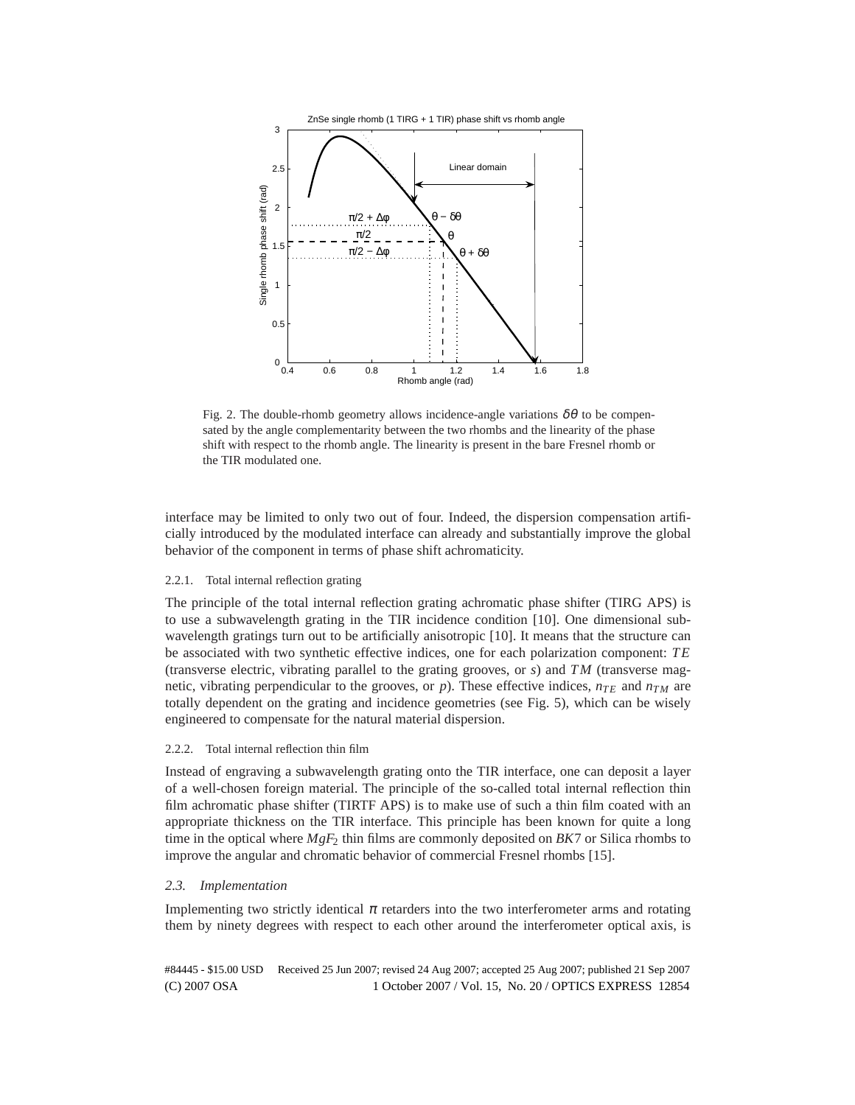

Fig. 2. The double-rhomb geometry allows incidence-angle variations  $\delta\theta$  to be compensated by the angle complementarity between the two rhombs and the linearity of the phase shift with respect to the rhomb angle. The linearity is present in the bare Fresnel rhomb or the TIR modulated one.

interface may be limited to only two out of four. Indeed, the dispersion compensation artificially introduced by the modulated interface can already and substantially improve the global behavior of the component in terms of phase shift achromaticity.

## 2.2.1. Total internal reflection grating

The principle of the total internal reflection grating achromatic phase shifter (TIRG APS) is to use a subwavelength grating in the TIR incidence condition [10]. One dimensional subwavelength gratings turn out to be artificially anisotropic [10]. It means that the structure can be associated with two synthetic effective indices, one for each polarization component: *T E* (transverse electric, vibrating parallel to the grating grooves, or  $s$ ) and  $TM$  (transverse magnetic, vibrating perpendicular to the grooves, or *p*). These effective indices,  $n_{TE}$  and  $n_{TM}$  are totally dependent on the grating and incidence geometries (see Fig. 5), which can be wisely engineered to compensate for the natural material dispersion.

## 2.2.2. Total internal reflection thin film

Instead of engraving a subwavelength grating onto the TIR interface, one can deposit a layer of a well-chosen foreign material. The principle of the so-called total internal reflection thin film achromatic phase shifter (TIRTF APS) is to make use of such a thin film coated with an appropriate thickness on the TIR interface. This principle has been known for quite a long time in the optical where *MgF*<sup>2</sup> thin films are commonly deposited on *BK*7 or Silica rhombs to improve the angular and chromatic behavior of commercial Fresnel rhombs [15].

#### *2.3. Implementation*

Implementing two strictly identical  $\pi$  retarders into the two interferometer arms and rotating them by ninety degrees with respect to each other around the interferometer optical axis, is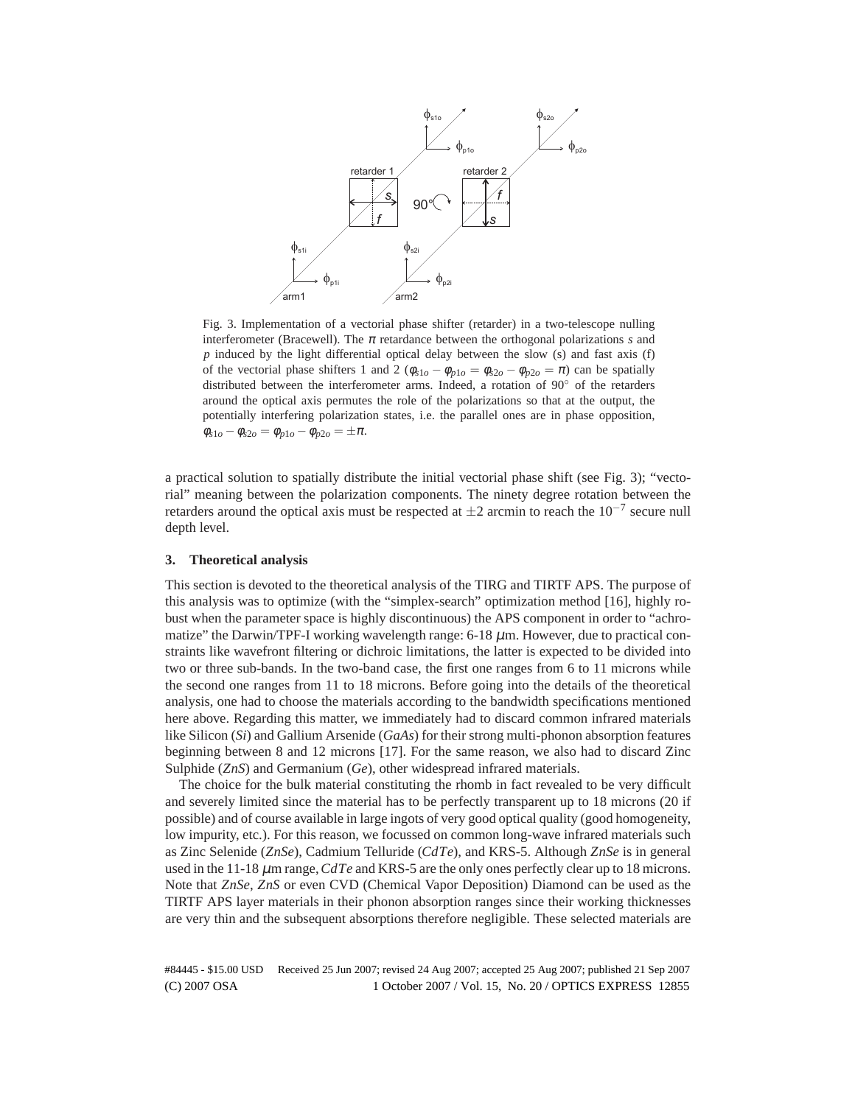

Fig. 3. Implementation of a vectorial phase shifter (retarder) in a two-telescope nulling interferometer (Bracewell). The  $\pi$  retardance between the orthogonal polarizations  $s$  and *p* induced by the light differential optical delay between the slow (s) and fast axis (f) of the vectorial phase shifters 1 and 2 ( $\phi_{s1o} - \phi_{p1o} = \phi_{s2o} - \phi_{p2o} = \pi$ ) can be spatially distributed between the interferometer arms. Indeed, a rotation of 90◦ of the retarders around the optical axis permutes the role of the polarizations so that at the output, the potentially interfering polarization states, i.e. the parallel ones are in phase opposition,  $\phi_{s1o} - \phi_{s2o} = \phi_{p1o} - \phi_{p2o} = \pm \pi.$ 

a practical solution to spatially distribute the initial vectorial phase shift (see Fig. 3); "vectorial" meaning between the polarization components. The ninety degree rotation between the retarders around the optical axis must be respected at  $\pm 2$  arcmin to reach the  $10^{-7}$  secure null depth level.

## **3. Theoretical analysis**

This section is devoted to the theoretical analysis of the TIRG and TIRTF APS. The purpose of this analysis was to optimize (with the "simplex-search" optimization method [16], highly robust when the parameter space is highly discontinuous) the APS component in order to "achromatize" the Darwin/TPF-I working wavelength range:  $6-18 \mu m$ . However, due to practical constraints like wavefront filtering or dichroic limitations, the latter is expected to be divided into two or three sub-bands. In the two-band case, the first one ranges from 6 to 11 microns while the second one ranges from 11 to 18 microns. Before going into the details of the theoretical analysis, one had to choose the materials according to the bandwidth specifications mentioned here above. Regarding this matter, we immediately had to discard common infrared materials like Silicon (*Si*) and Gallium Arsenide (*GaAs*) for their strong multi-phonon absorption features beginning between 8 and 12 microns [17]. For the same reason, we also had to discard Zinc Sulphide (*ZnS*) and Germanium (*Ge*), other widespread infrared materials.

The choice for the bulk material constituting the rhomb in fact revealed to be very difficult and severely limited since the material has to be perfectly transparent up to 18 microns (20 if possible) and of course available in large ingots of very good optical quality (good homogeneity, low impurity, etc.). For this reason, we focussed on common long-wave infrared materials such as Zinc Selenide (*ZnSe*), Cadmium Telluride (*CdTe*), and KRS-5. Although *ZnSe* is in general used in the  $11-18 \mu m$  range,  $CdTe$  and KRS-5 are the only ones perfectly clear up to 18 microns. Note that *ZnSe*, *ZnS* or even CVD (Chemical Vapor Deposition) Diamond can be used as the TIRTF APS layer materials in their phonon absorption ranges since their working thicknesses are very thin and the subsequent absorptions therefore negligible. These selected materials are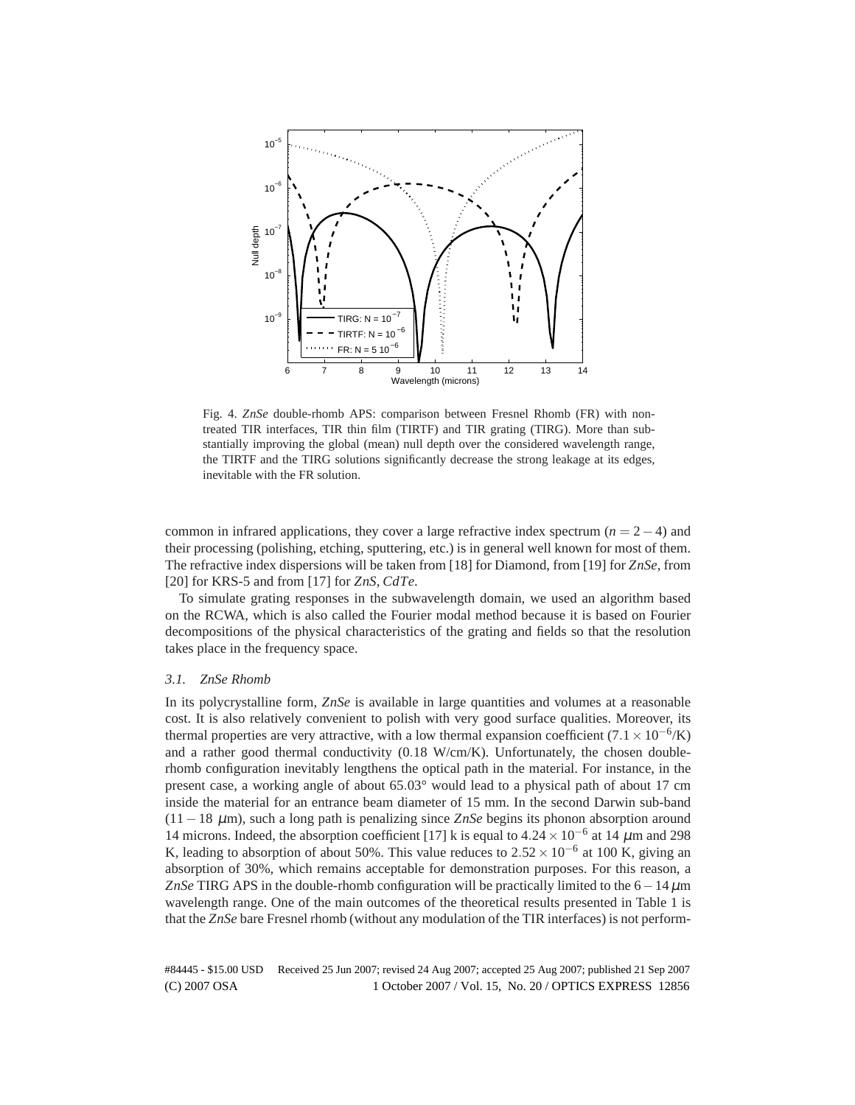

Fig. 4. *ZnSe* double-rhomb APS: comparison between Fresnel Rhomb (FR) with nontreated TIR interfaces, TIR thin film (TIRTF) and TIR grating (TIRG). More than substantially improving the global (mean) null depth over the considered wavelength range, the TIRTF and the TIRG solutions significantly decrease the strong leakage at its edges, inevitable with the FR solution.

common in infrared applications, they cover a large refractive index spectrum  $(n = 2 - 4)$  and their processing (polishing, etching, sputtering, etc.) is in general well known for most of them. The refractive index dispersions will be taken from [18] for Diamond, from [19] for *ZnSe*, from [20] for KRS-5 and from [17] for *ZnS*, *CdTe*.

To simulate grating responses in the subwavelength domain, we used an algorithm based on the RCWA, which is also called the Fourier modal method because it is based on Fourier decompositions of the physical characteristics of the grating and fields so that the resolution takes place in the frequency space.

## *3.1. ZnSe Rhomb*

In its polycrystalline form, *ZnSe* is available in large quantities and volumes at a reasonable cost. It is also relatively convenient to polish with very good surface qualities. Moreover, its thermal properties are very attractive, with a low thermal expansion coefficient  $(7.1 \times 10^{-6}$ /K) and a rather good thermal conductivity  $(0.18 \text{ W/cm/K})$ . Unfortunately, the chosen doublerhomb configuration inevitably lengthens the optical path in the material. For instance, in the present case, a working angle of about 65.03° would lead to a physical path of about 17 cm inside the material for an entrance beam diameter of 15 mm. In the second Darwin sub-band (11−18 µm), such a long path is penalizing since *ZnSe* begins its phonon absorption around 14 microns. Indeed, the absorption coefficient [17] k is equal to  $4.24 \times 10^{-6}$  at 14  $\mu$ m and 298 K, leading to absorption of about 50%. This value reduces to  $2.52 \times 10^{-6}$  at 100 K, giving an absorption of 30%, which remains acceptable for demonstration purposes. For this reason, a *ZnSe* TIRG APS in the double-rhomb configuration will be practically limited to the 6−14µm wavelength range. One of the main outcomes of the theoretical results presented in Table 1 is that the *ZnSe* bare Fresnel rhomb (without any modulation of the TIR interfaces) is not perform-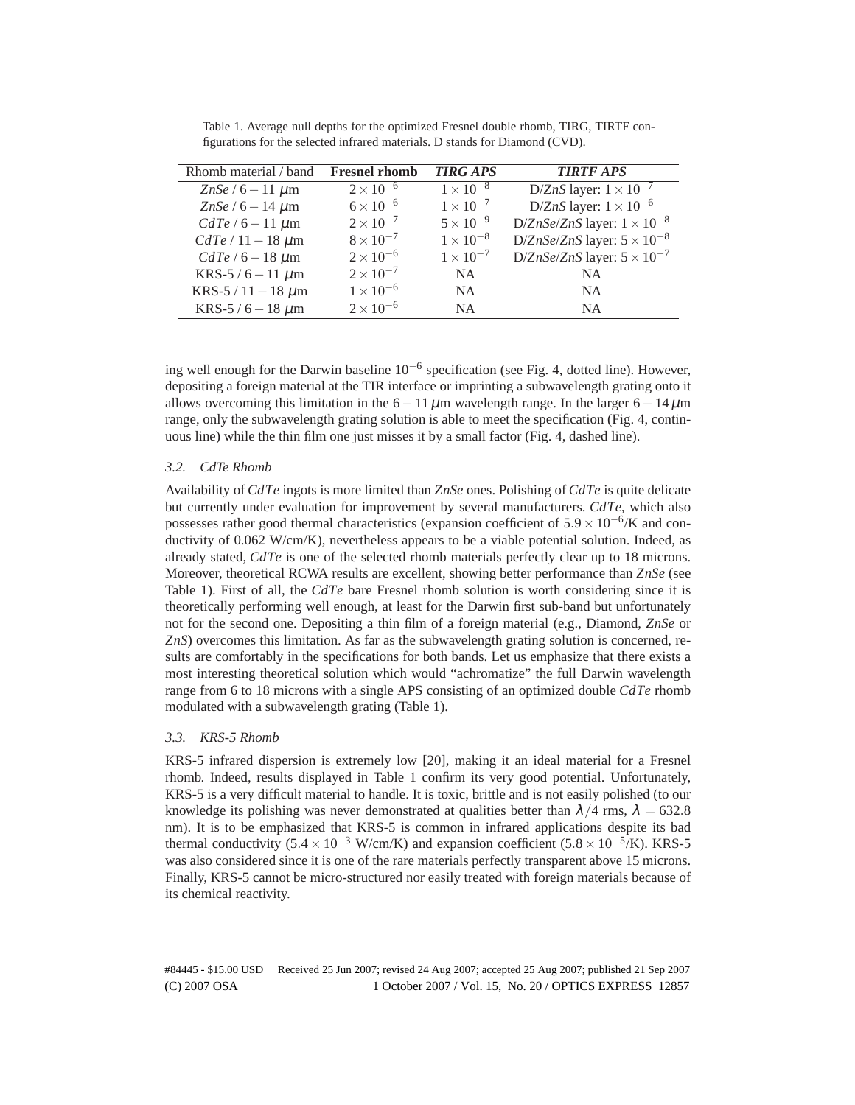| Rhomb material / band     | <b>Fresnel rhomb</b>        | <b>TIRG APS</b>    | <b>TIRTF APS</b>                     |
|---------------------------|-----------------------------|--------------------|--------------------------------------|
| ZnSe / $6 - 11 \mu m$     | $2\times\overline{10^{-6}}$ | $1 \times 10^{-8}$ | D/ZnS layer: $1 \times 10^{-7}$      |
| ZnSe / $6 - 14 \mu m$     | $6 \times 10^{-6}$          | $1 \times 10^{-7}$ | D/ZnS layer: $1 \times 10^{-6}$      |
| $CdTe/6-11 \mu m$         | $2 \times 10^{-7}$          | $5 \times 10^{-9}$ | D/ZnSe/ZnS layer: $1 \times 10^{-8}$ |
| $CdTe/11-18 \ \mu m$      | $8 \times 10^{-7}$          | $1 \times 10^{-8}$ | D/ZnSe/ZnS layer: $5 \times 10^{-8}$ |
| $CdTe/6-18 \mu m$         | $2 \times 10^{-6}$          | $1 \times 10^{-7}$ | D/ZnSe/ZnS layer: $5 \times 10^{-7}$ |
| KRS-5/6 – 11 $\mu$ m      | $2 \times 10^{-7}$          | NA.                | <b>NA</b>                            |
| KRS-5 / 11 $-$ 18 $\mu$ m | $1 \times 10^{-6}$          | <b>NA</b>          | N <sub>A</sub>                       |
| KRS-5 / $6 - 18 \mu m$    | $2 \times 10^{-6}$          | N <sub>A</sub>     | N <sub>A</sub>                       |

Table 1. Average null depths for the optimized Fresnel double rhomb, TIRG, TIRTF configurations for the selected infrared materials. D stands for Diamond (CVD).

ing well enough for the Darwin baseline 10−<sup>6</sup> specification (see Fig. 4, dotted line). However, depositing a foreign material at the TIR interface or imprinting a subwavelength grating onto it allows overcoming this limitation in the  $6-11 \mu m$  wavelength range. In the larger  $6-14 \mu m$ range, only the subwavelength grating solution is able to meet the specification (Fig. 4, continuous line) while the thin film one just misses it by a small factor (Fig. 4, dashed line).

## *3.2. CdTe Rhomb*

Availability of *CdTe* ingots is more limited than *ZnSe* ones. Polishing of *CdTe* is quite delicate but currently under evaluation for improvement by several manufacturers. *CdTe*, which also possesses rather good thermal characteristics (expansion coefficient of  $5.9 \times 10^{-6}$ /K and conductivity of 0.062 W/cm/K), nevertheless appears to be a viable potential solution. Indeed, as already stated, *CdTe* is one of the selected rhomb materials perfectly clear up to 18 microns. Moreover, theoretical RCWA results are excellent, showing better performance than *ZnSe* (see Table 1). First of all, the *CdTe* bare Fresnel rhomb solution is worth considering since it is theoretically performing well enough, at least for the Darwin first sub-band but unfortunately not for the second one. Depositing a thin film of a foreign material (e.g., Diamond, *ZnSe* or *ZnS*) overcomes this limitation. As far as the subwavelength grating solution is concerned, results are comfortably in the specifications for both bands. Let us emphasize that there exists a most interesting theoretical solution which would "achromatize" the full Darwin wavelength range from 6 to 18 microns with a single APS consisting of an optimized double *CdTe* rhomb modulated with a subwavelength grating (Table 1).

## *3.3. KRS-5 Rhomb*

KRS-5 infrared dispersion is extremely low [20], making it an ideal material for a Fresnel rhomb. Indeed, results displayed in Table 1 confirm its very good potential. Unfortunately, KRS-5 is a very difficult material to handle. It is toxic, brittle and is not easily polished (to our knowledge its polishing was never demonstrated at qualities better than  $\lambda/4$  rms,  $\lambda = 632.8$ nm). It is to be emphasized that KRS-5 is common in infrared applications despite its bad thermal conductivity (5.4 × 10<sup>-3</sup> W/cm/K) and expansion coefficient (5.8 × 10<sup>-5</sup>/K). KRS-5 was also considered since it is one of the rare materials perfectly transparent above 15 microns. Finally, KRS-5 cannot be micro-structured nor easily treated with foreign materials because of its chemical reactivity.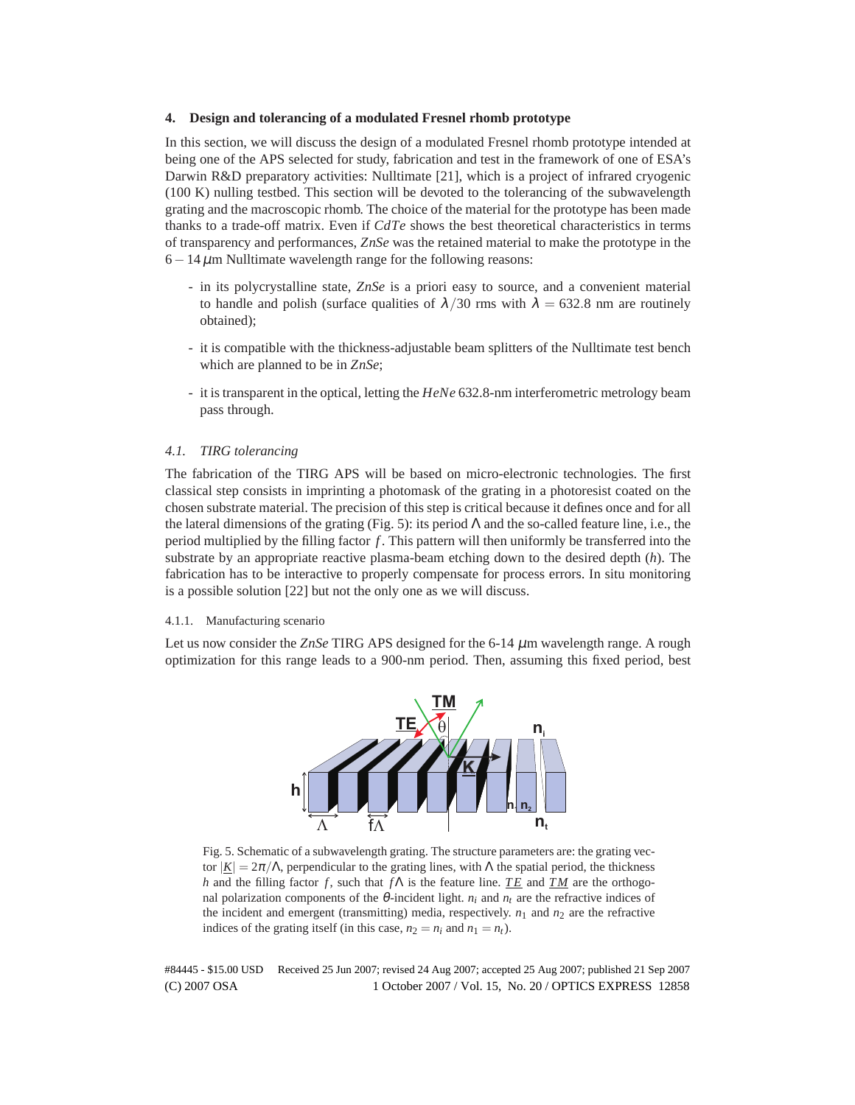## **4. Design and tolerancing of a modulated Fresnel rhomb prototype**

In this section, we will discuss the design of a modulated Fresnel rhomb prototype intended at being one of the APS selected for study, fabrication and test in the framework of one of ESA's Darwin R&D preparatory activities: Nulltimate [21], which is a project of infrared cryogenic (100 K) nulling testbed. This section will be devoted to the tolerancing of the subwavelength grating and the macroscopic rhomb. The choice of the material for the prototype has been made thanks to a trade-off matrix. Even if *CdTe* shows the best theoretical characteristics in terms of transparency and performances, *ZnSe* was the retained material to make the prototype in the  $6-14 \mu$ m Nulltimate wavelength range for the following reasons:

- in its polycrystalline state, *ZnSe* is a priori easy to source, and a convenient material to handle and polish (surface qualities of  $\lambda/30$  rms with  $\lambda = 632.8$  nm are routinely obtained);
- it is compatible with the thickness-adjustable beam splitters of the Nulltimate test bench which are planned to be in *ZnSe*;
- it is transparent in the optical, letting the *HeNe* 632.8-nm interferometric metrology beam pass through.

## *4.1. TIRG tolerancing*

The fabrication of the TIRG APS will be based on micro-electronic technologies. The first classical step consists in imprinting a photomask of the grating in a photoresist coated on the chosen substrate material. The precision of this step is critical because it defines once and for all the lateral dimensions of the grating (Fig. 5): its period  $\Lambda$  and the so-called feature line, i.e., the period multiplied by the filling factor *f* . This pattern will then uniformly be transferred into the substrate by an appropriate reactive plasma-beam etching down to the desired depth (*h*). The fabrication has to be interactive to properly compensate for process errors. In situ monitoring is a possible solution [22] but not the only one as we will discuss.

#### 4.1.1. Manufacturing scenario

Let us now consider the *ZnSe* TIRG APS designed for the 6-14  $\mu$ m wavelength range. A rough optimization for this range leads to a 900-nm period. Then, assuming this fixed period, best



Fig. 5. Schematic of a subwavelength grating. The structure parameters are: the grating vector  $|\underline{K}| = 2\pi/\Lambda$ , perpendicular to the grating lines, with Λ the spatial period, the thickness *h* and the filling factor *f*, such that *f*Λ is the feature line. *TE* and *TM* are the orthogonal polarization components of the  $\theta$ -incident light.  $n_i$  and  $n_t$  are the refractive indices of the incident and emergent (transmitting) media, respectively.  $n_1$  and  $n_2$  are the refractive indices of the grating itself (in this case,  $n_2 = n_i$  and  $n_1 = n_t$ ).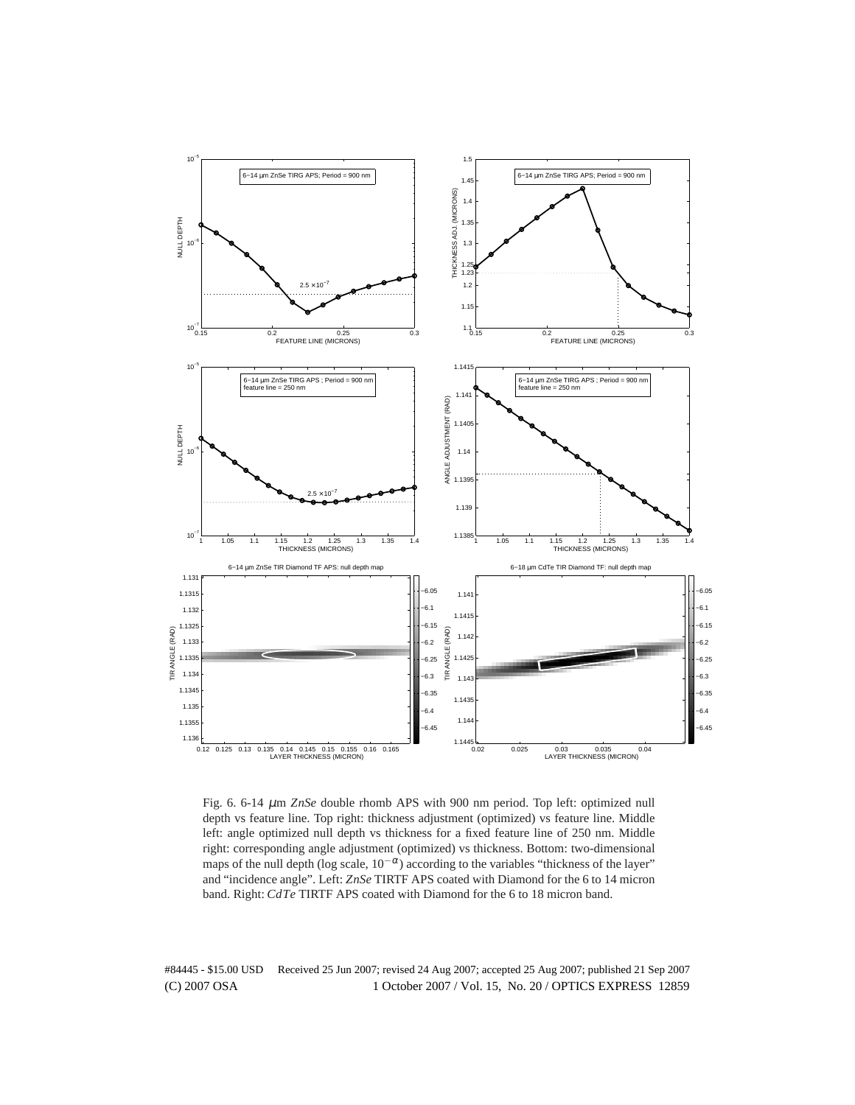

Fig. 6. 6-14 µm *ZnSe* double rhomb APS with 900 nm period. Top left: optimized null depth vs feature line. Top right: thickness adjustment (optimized) vs feature line. Middle left: angle optimized null depth vs thickness for a fixed feature line of 250 nm. Middle right: corresponding angle adjustment (optimized) vs thickness. Bottom: two-dimensional maps of the null depth (log scale,  $10^{-\alpha}$ ) according to the variables "thickness of the layer" and "incidence angle". Left: *ZnSe* TIRTF APS coated with Diamond for the 6 to 14 micron band. Right: *CdTe* TIRTF APS coated with Diamond for the 6 to 18 micron band.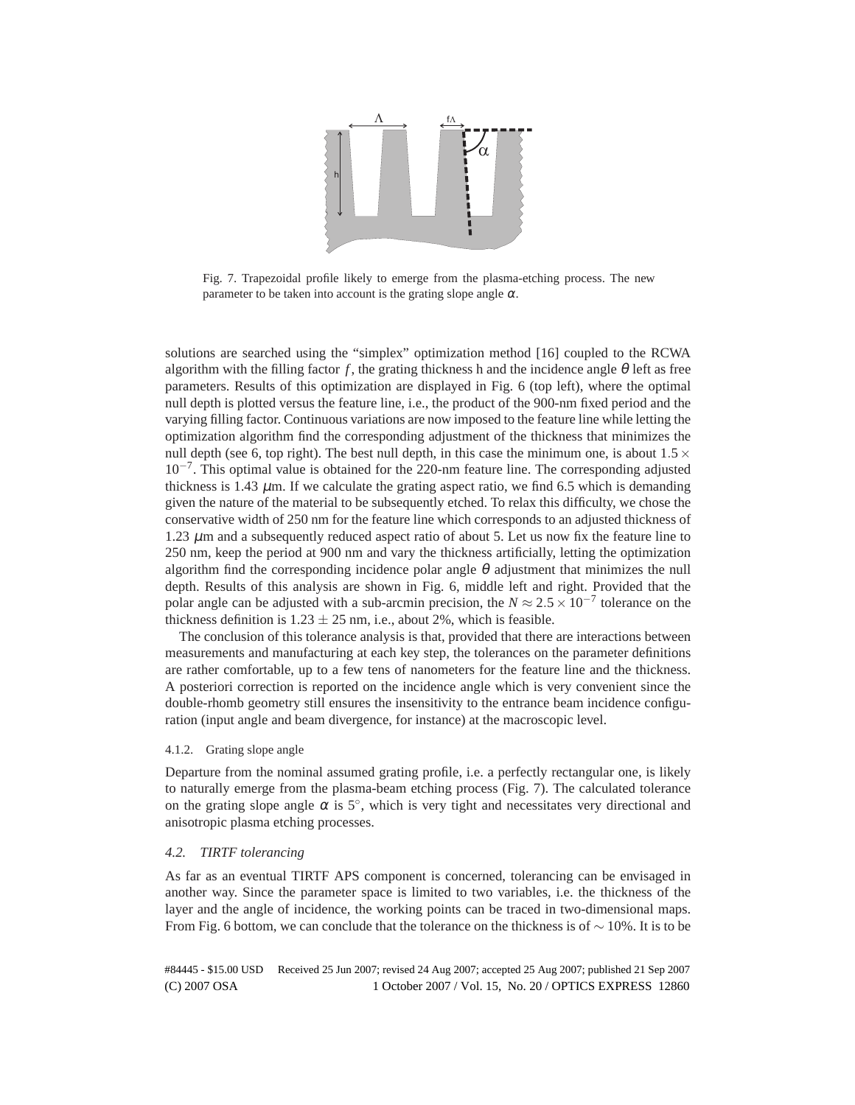

Fig. 7. Trapezoidal profile likely to emerge from the plasma-etching process. The new parameter to be taken into account is the grating slope angle  $\alpha$ .

solutions are searched using the "simplex" optimization method [16] coupled to the RCWA algorithm with the filling factor f, the grating thickness h and the incidence angle  $\theta$  left as free parameters. Results of this optimization are displayed in Fig. 6 (top left), where the optimal null depth is plotted versus the feature line, i.e., the product of the 900-nm fixed period and the varying filling factor. Continuous variations are now imposed to the feature line while letting the optimization algorithm find the corresponding adjustment of the thickness that minimizes the null depth (see 6, top right). The best null depth, in this case the minimum one, is about  $1.5 \times$ 10−<sup>7</sup> . This optimal value is obtained for the 220-nm feature line. The corresponding adjusted thickness is 1.43  $\mu$ m. If we calculate the grating aspect ratio, we find 6.5 which is demanding given the nature of the material to be subsequently etched. To relax this difficulty, we chose the conservative width of 250 nm for the feature line which corresponds to an adjusted thickness of 1.23  $\mu$ m and a subsequently reduced aspect ratio of about 5. Let us now fix the feature line to 250 nm, keep the period at 900 nm and vary the thickness artificially, letting the optimization algorithm find the corresponding incidence polar angle  $\theta$  adjustment that minimizes the null depth. Results of this analysis are shown in Fig. 6, middle left and right. Provided that the polar angle can be adjusted with a sub-arcmin precision, the  $N \approx 2.5 \times 10^{-7}$  tolerance on the thickness definition is  $1.23 \pm 25$  nm, i.e., about 2%, which is feasible.

The conclusion of this tolerance analysis is that, provided that there are interactions between measurements and manufacturing at each key step, the tolerances on the parameter definitions are rather comfortable, up to a few tens of nanometers for the feature line and the thickness. A posteriori correction is reported on the incidence angle which is very convenient since the double-rhomb geometry still ensures the insensitivity to the entrance beam incidence configuration (input angle and beam divergence, for instance) at the macroscopic level.

#### 4.1.2. Grating slope angle

Departure from the nominal assumed grating profile, i.e. a perfectly rectangular one, is likely to naturally emerge from the plasma-beam etching process (Fig. 7). The calculated tolerance on the grating slope angle  $\alpha$  is  $5^\circ$ , which is very tight and necessitates very directional and anisotropic plasma etching processes.

## *4.2. TIRTF tolerancing*

As far as an eventual TIRTF APS component is concerned, tolerancing can be envisaged in another way. Since the parameter space is limited to two variables, i.e. the thickness of the layer and the angle of incidence, the working points can be traced in two-dimensional maps. From Fig. 6 bottom, we can conclude that the tolerance on the thickness is of  $\sim$  10%. It is to be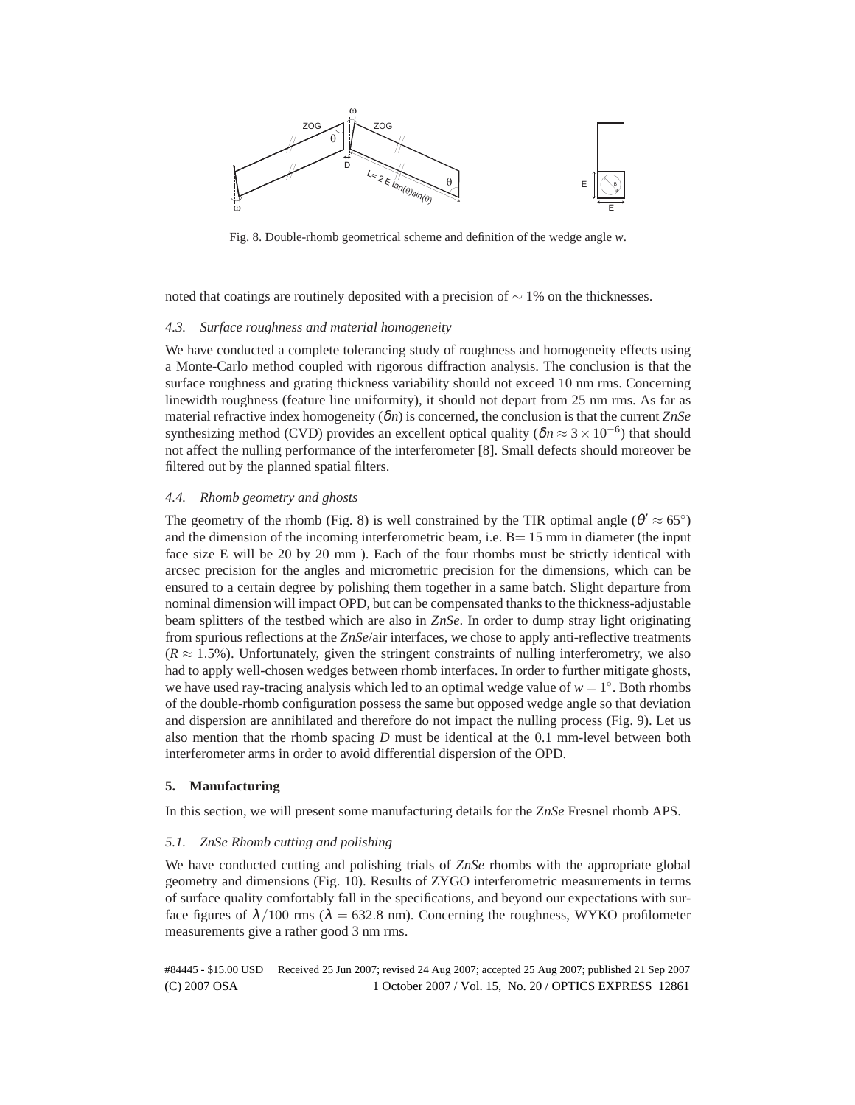

Fig. 8. Double-rhomb geometrical scheme and definition of the wedge angle *w*.

noted that coatings are routinely deposited with a precision of  $\sim$  1% on the thicknesses.

## *4.3. Surface roughness and material homogeneity*

We have conducted a complete tolerancing study of roughness and homogeneity effects using a Monte-Carlo method coupled with rigorous diffraction analysis. The conclusion is that the surface roughness and grating thickness variability should not exceed 10 nm rms. Concerning linewidth roughness (feature line uniformity), it should not depart from 25 nm rms. As far as material refractive index homogeneity (δ*n*) is concerned, the conclusion is that the current *ZnSe* synthesizing method (CVD) provides an excellent optical quality ( $\delta n \approx 3 \times 10^{-6}$ ) that should not affect the nulling performance of the interferometer [8]. Small defects should moreover be filtered out by the planned spatial filters.

## *4.4. Rhomb geometry and ghosts*

The geometry of the rhomb (Fig. 8) is well constrained by the TIR optimal angle ( $\theta' \approx 65^{\circ}$ ) and the dimension of the incoming interferometric beam, i.e.  $B=15$  mm in diameter (the input face size E will be 20 by 20 mm ). Each of the four rhombs must be strictly identical with arcsec precision for the angles and micrometric precision for the dimensions, which can be ensured to a certain degree by polishing them together in a same batch. Slight departure from nominal dimension will impact OPD, but can be compensated thanks to the thickness-adjustable beam splitters of the testbed which are also in *ZnSe*. In order to dump stray light originating from spurious reflections at the *ZnSe*/air interfaces, we chose to apply anti-reflective treatments  $(R \approx 1.5\%)$ . Unfortunately, given the stringent constraints of nulling interferometry, we also had to apply well-chosen wedges between rhomb interfaces. In order to further mitigate ghosts, we have used ray-tracing analysis which led to an optimal wedge value of  $w = 1^\circ$ . Both rhombs of the double-rhomb configuration possess the same but opposed wedge angle so that deviation and dispersion are annihilated and therefore do not impact the nulling process (Fig. 9). Let us also mention that the rhomb spacing *D* must be identical at the 0.1 mm-level between both interferometer arms in order to avoid differential dispersion of the OPD.

## **5. Manufacturing**

In this section, we will present some manufacturing details for the *ZnSe* Fresnel rhomb APS.

#### *5.1. ZnSe Rhomb cutting and polishing*

We have conducted cutting and polishing trials of *ZnSe* rhombs with the appropriate global geometry and dimensions (Fig. 10). Results of ZYGO interferometric measurements in terms of surface quality comfortably fall in the specifications, and beyond our expectations with surface figures of  $\lambda/100$  rms ( $\lambda = 632.8$  nm). Concerning the roughness, WYKO profilometer measurements give a rather good 3 nm rms.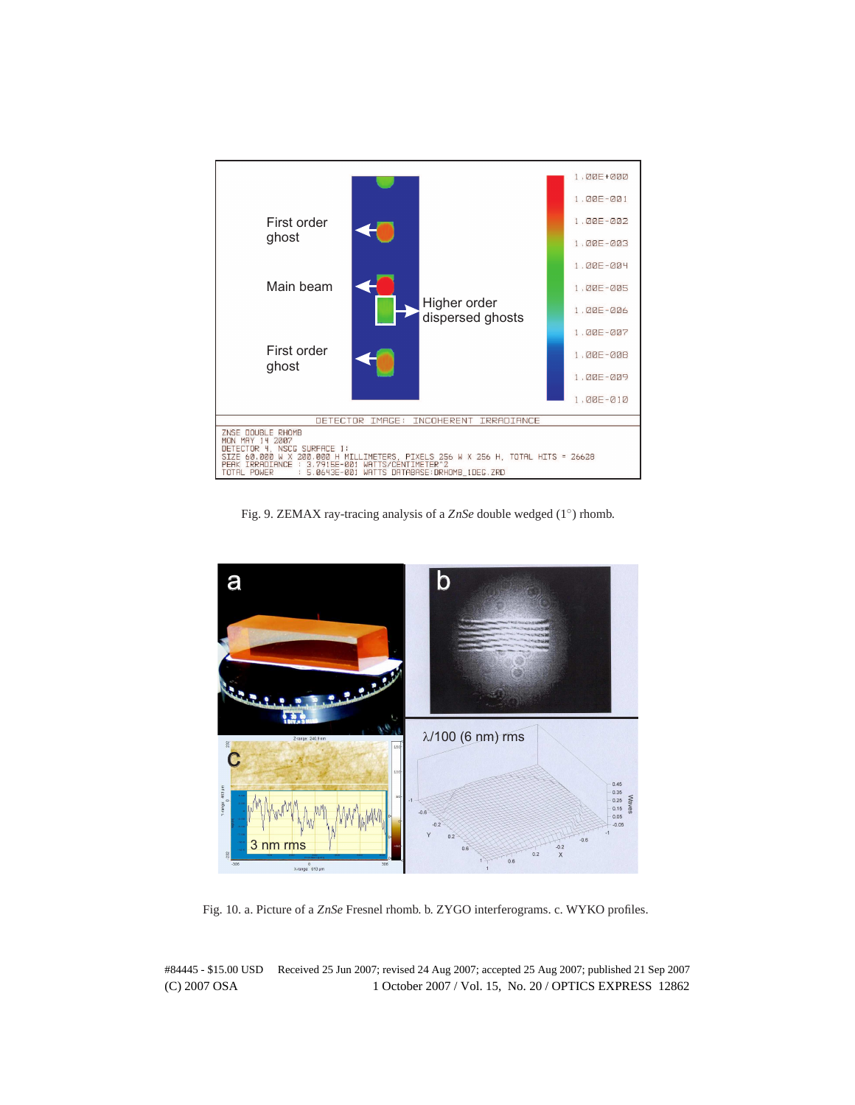

Fig. 9. ZEMAX ray-tracing analysis of a *ZnSe* double wedged (1◦ ) rhomb.



Fig. 10. a. Picture of a *ZnSe* Fresnel rhomb. b. ZYGO interferograms. c. WYKO profiles.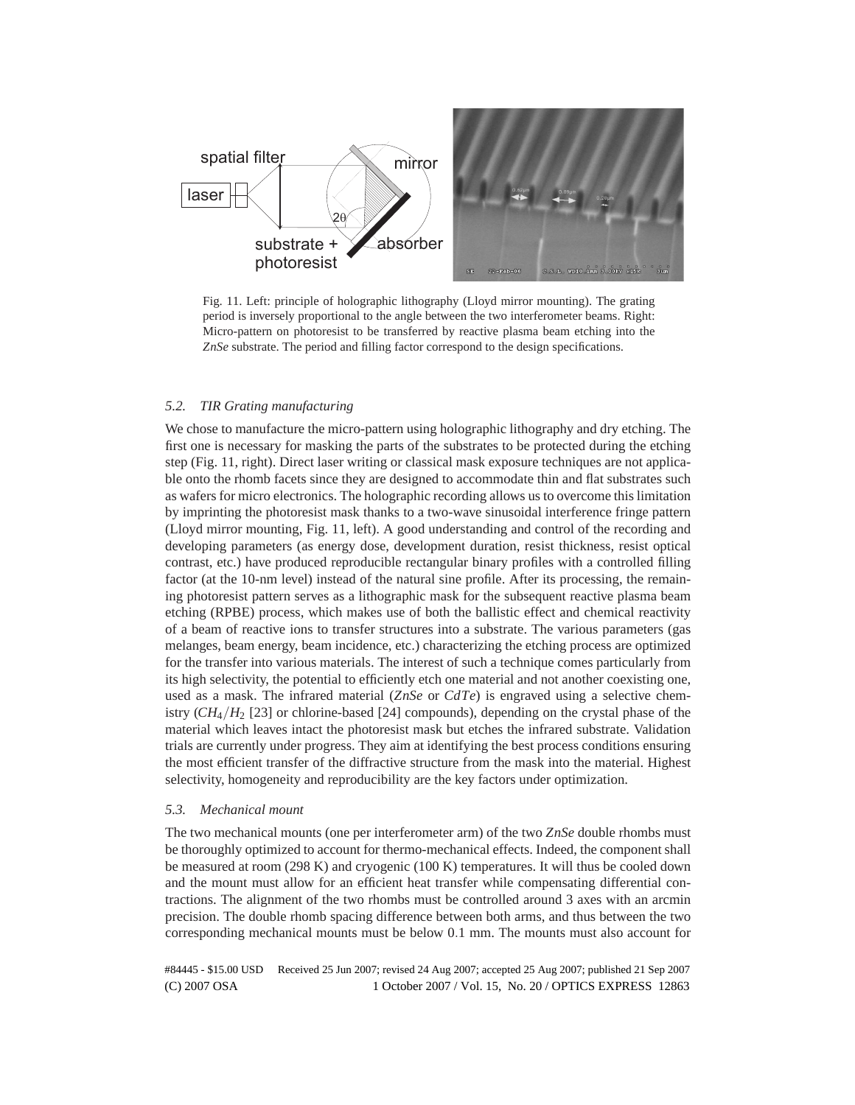

Fig. 11. Left: principle of holographic lithography (Lloyd mirror mounting). The grating period is inversely proportional to the angle between the two interferometer beams. Right: Micro-pattern on photoresist to be transferred by reactive plasma beam etching into the *ZnSe* substrate. The period and filling factor correspond to the design specifications.

## *5.2. TIR Grating manufacturing*

We chose to manufacture the micro-pattern using holographic lithography and dry etching. The first one is necessary for masking the parts of the substrates to be protected during the etching step (Fig. 11, right). Direct laser writing or classical mask exposure techniques are not applicable onto the rhomb facets since they are designed to accommodate thin and flat substrates such as wafers for micro electronics. The holographic recording allows us to overcome this limitation by imprinting the photoresist mask thanks to a two-wave sinusoidal interference fringe pattern (Lloyd mirror mounting, Fig. 11, left). A good understanding and control of the recording and developing parameters (as energy dose, development duration, resist thickness, resist optical contrast, etc.) have produced reproducible rectangular binary profiles with a controlled filling factor (at the 10-nm level) instead of the natural sine profile. After its processing, the remaining photoresist pattern serves as a lithographic mask for the subsequent reactive plasma beam etching (RPBE) process, which makes use of both the ballistic effect and chemical reactivity of a beam of reactive ions to transfer structures into a substrate. The various parameters (gas melanges, beam energy, beam incidence, etc.) characterizing the etching process are optimized for the transfer into various materials. The interest of such a technique comes particularly from its high selectivity, the potential to efficiently etch one material and not another coexisting one, used as a mask. The infrared material (*ZnSe* or *CdTe*) is engraved using a selective chemistry  $(CH_4/H_2$  [23] or chlorine-based [24] compounds), depending on the crystal phase of the material which leaves intact the photoresist mask but etches the infrared substrate. Validation trials are currently under progress. They aim at identifying the best process conditions ensuring the most efficient transfer of the diffractive structure from the mask into the material. Highest selectivity, homogeneity and reproducibility are the key factors under optimization.

## *5.3. Mechanical mount*

The two mechanical mounts (one per interferometer arm) of the two *ZnSe* double rhombs must be thoroughly optimized to account for thermo-mechanical effects. Indeed, the component shall be measured at room (298 K) and cryogenic (100 K) temperatures. It will thus be cooled down and the mount must allow for an efficient heat transfer while compensating differential contractions. The alignment of the two rhombs must be controlled around 3 axes with an arcmin precision. The double rhomb spacing difference between both arms, and thus between the two corresponding mechanical mounts must be below 0.1 mm. The mounts must also account for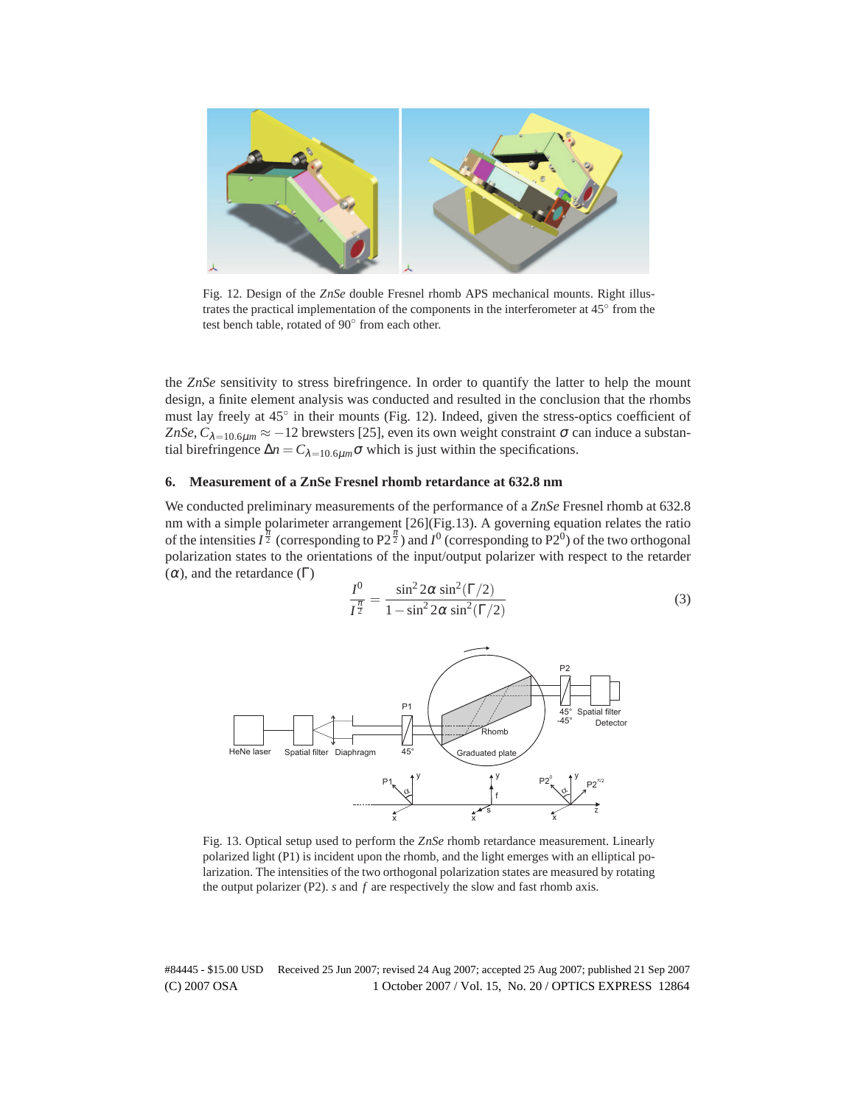

Fig. 12. Design of the *ZnSe* double Fresnel rhomb APS mechanical mounts. Right illustrates the practical implementation of the components in the interferometer at 45° from the test bench table, rotated of 90° from each other.

the *ZnSe* sensitivity to stress birefringence. In order to quantify the latter to help the mount design, a finite element analysis was conducted and resulted in the conclusion that the rhombs must lay freely at 45° in their mounts (Fig. 12). Indeed, given the stress-optics coefficient of *ZnSe*,  $C_{\lambda=10.6\mu m} \approx -12$  brewsters [25], even its own weight constraint  $\sigma$  can induce a substantial birefringence  $\Delta n = C_{\lambda=10.6\mu m} \sigma$  which is just within the specifications.

# **6. Measurement of a ZnSe Fresnel rhomb retardance at 632.8 nm**

We conducted preliminary measurements of the performance of a *ZnSe* Fresnel rhomb at 632.8 nm with a simple polarimeter arrangement [26](Fig.13). A governing equation relates the ratio of the intensities  $I^{\frac{\pi}{2}}$  (corresponding to P2<sup> $\frac{\pi}{2}$ </sup>) and  $I^0$  (corresponding to P2<sup>0</sup>) of the two orthogonal polarization states to the orientations of the input/output polarizer with respect to the retarder ( $α$ ), and the retardance ( $Γ$ )

$$
\frac{I^0}{I^{\frac{\pi}{2}}} = \frac{\sin^2 2\alpha \sin^2(\Gamma/2)}{1 - \sin^2 2\alpha \sin^2(\Gamma/2)}\tag{3}
$$



Fig. 13. Optical setup used to perform the *ZnSe* rhomb retardance measurement. Linearly polarized light (P1) is incident upon the rhomb, and the light emerges with an elliptical polarization. The intensities of the two orthogonal polarization states are measured by rotating the output polarizer (P2). *s* and *f* are respectively the slow and fast rhomb axis.